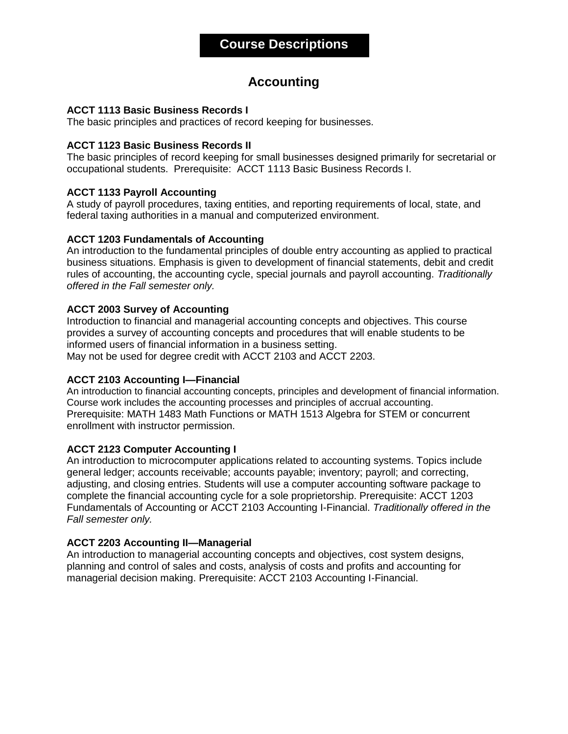# **Accounting**

# **ACCT 1113 Basic Business Records I**

The basic principles and practices of record keeping for businesses.

# **ACCT 1123 Basic Business Records II**

The basic principles of record keeping for small businesses designed primarily for secretarial or occupational students. Prerequisite: ACCT 1113 Basic Business Records I.

# **ACCT 1133 Payroll Accounting**

A study of payroll procedures, taxing entities, and reporting requirements of local, state, and federal taxing authorities in a manual and computerized environment.

# **ACCT 1203 Fundamentals of Accounting**

An introduction to the fundamental principles of double entry accounting as applied to practical business situations. Emphasis is given to development of financial statements, debit and credit rules of accounting, the accounting cycle, special journals and payroll accounting. *Traditionally offered in the Fall semester only.*

# **ACCT 2003 Survey of Accounting**

Introduction to financial and managerial accounting concepts and objectives. This course provides a survey of accounting concepts and procedures that will enable students to be informed users of financial information in a business setting.

May not be used for degree credit with ACCT 2103 and ACCT 2203.

# **ACCT 2103 Accounting I—Financial**

An introduction to financial accounting concepts, principles and development of financial information. Course work includes the accounting processes and principles of accrual accounting. Prerequisite: MATH 1483 Math Functions or MATH 1513 Algebra for STEM or concurrent enrollment with instructor permission.

# **ACCT 2123 Computer Accounting I**

An introduction to microcomputer applications related to accounting systems. Topics include general ledger; accounts receivable; accounts payable; inventory; payroll; and correcting, adjusting, and closing entries. Students will use a computer accounting software package to complete the financial accounting cycle for a sole proprietorship. Prerequisite: ACCT 1203 Fundamentals of Accounting or ACCT 2103 Accounting I-Financial. *Traditionally offered in the Fall semester only.*

# **ACCT 2203 Accounting II—Managerial**

An introduction to managerial accounting concepts and objectives, cost system designs, planning and control of sales and costs, analysis of costs and profits and accounting for managerial decision making. Prerequisite: ACCT 2103 Accounting I-Financial.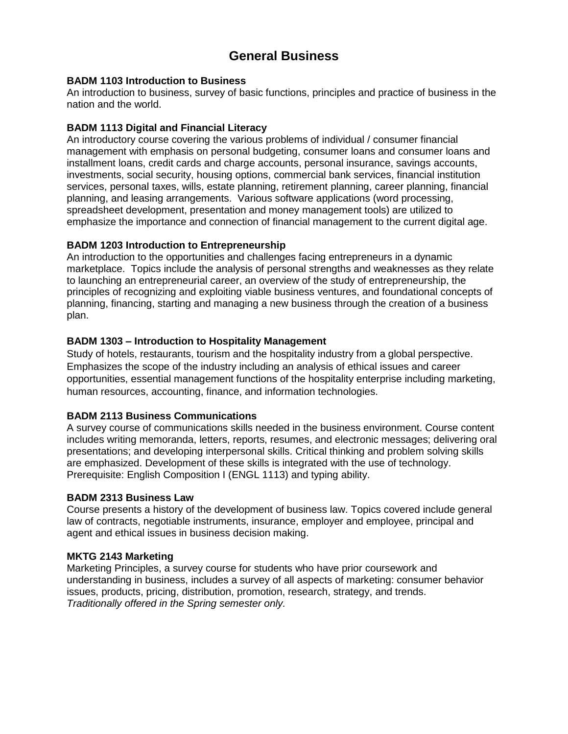# **General Business**

# **BADM 1103 Introduction to Business**

An introduction to business, survey of basic functions, principles and practice of business in the nation and the world.

# **BADM 1113 Digital and Financial Literacy**

An introductory course covering the various problems of individual / consumer financial management with emphasis on personal budgeting, consumer loans and consumer loans and installment loans, credit cards and charge accounts, personal insurance, savings accounts, investments, social security, housing options, commercial bank services, financial institution services, personal taxes, wills, estate planning, retirement planning, career planning, financial planning, and leasing arrangements. Various software applications (word processing, spreadsheet development, presentation and money management tools) are utilized to emphasize the importance and connection of financial management to the current digital age.

### **BADM 1203 Introduction to Entrepreneurship**

An introduction to the opportunities and challenges facing entrepreneurs in a dynamic marketplace. Topics include the analysis of personal strengths and weaknesses as they relate to launching an entrepreneurial career, an overview of the study of entrepreneurship, the principles of recognizing and exploiting viable business ventures, and foundational concepts of planning, financing, starting and managing a new business through the creation of a business plan.

### **BADM 1303 – Introduction to Hospitality Management**

Study of hotels, restaurants, tourism and the hospitality industry from a global perspective. Emphasizes the scope of the industry including an analysis of ethical issues and career opportunities, essential management functions of the hospitality enterprise including marketing, human resources, accounting, finance, and information technologies.

#### **BADM 2113 Business Communications**

A survey course of communications skills needed in the business environment. Course content includes writing memoranda, letters, reports, resumes, and electronic messages; delivering oral presentations; and developing interpersonal skills. Critical thinking and problem solving skills are emphasized. Development of these skills is integrated with the use of technology. Prerequisite: English Composition I (ENGL 1113) and typing ability.

#### **BADM 2313 Business Law**

Course presents a history of the development of business law. Topics covered include general law of contracts, negotiable instruments, insurance, employer and employee, principal and agent and ethical issues in business decision making.

#### **MKTG 2143 Marketing**

Marketing Principles, a survey course for students who have prior coursework and understanding in business, includes a survey of all aspects of marketing: consumer behavior issues, products, pricing, distribution, promotion, research, strategy, and trends. *Traditionally offered in the Spring semester only.*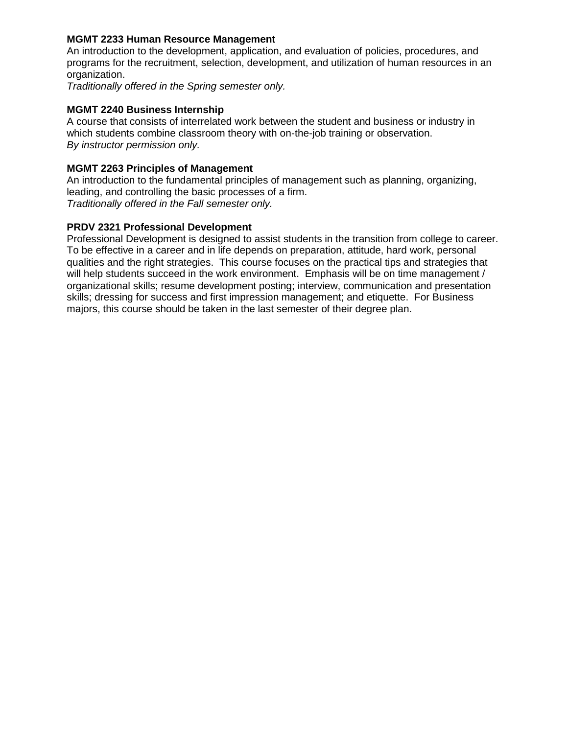# **MGMT 2233 Human Resource Management**

An introduction to the development, application, and evaluation of policies, procedures, and programs for the recruitment, selection, development, and utilization of human resources in an organization.

*Traditionally offered in the Spring semester only.*

# **MGMT 2240 Business Internship**

A course that consists of interrelated work between the student and business or industry in which students combine classroom theory with on-the-job training or observation. *By instructor permission only.*

# **MGMT 2263 Principles of Management**

An introduction to the fundamental principles of management such as planning, organizing, leading, and controlling the basic processes of a firm. *Traditionally offered in the Fall semester only.*

# **PRDV 2321 Professional Development**

Professional Development is designed to assist students in the transition from college to career. To be effective in a career and in life depends on preparation, attitude, hard work, personal qualities and the right strategies. This course focuses on the practical tips and strategies that will help students succeed in the work environment. Emphasis will be on time management / organizational skills; resume development posting; interview, communication and presentation skills; dressing for success and first impression management; and etiquette. For Business majors, this course should be taken in the last semester of their degree plan.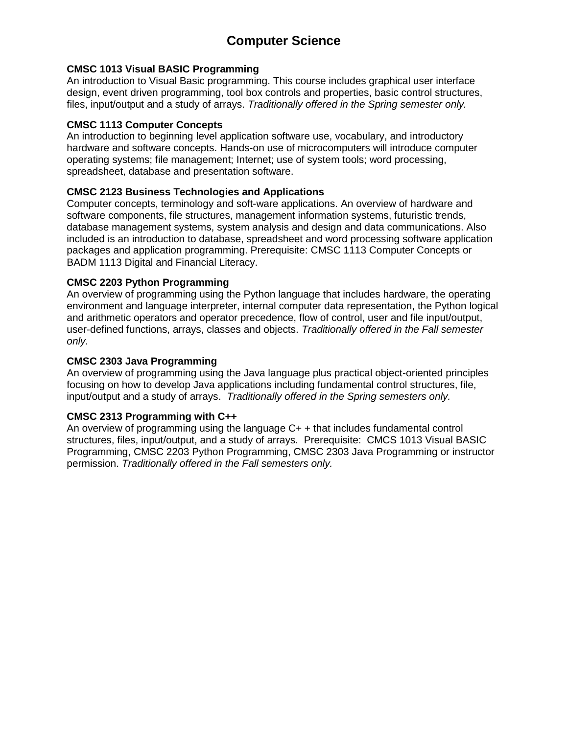# **Computer Science**

# **CMSC 1013 Visual BASIC Programming**

An introduction to Visual Basic programming. This course includes graphical user interface design, event driven programming, tool box controls and properties, basic control structures, files, input/output and a study of arrays. *Traditionally offered in the Spring semester only.*

#### **CMSC 1113 Computer Concepts**

An introduction to beginning level application software use, vocabulary, and introductory hardware and software concepts. Hands-on use of microcomputers will introduce computer operating systems; file management; Internet; use of system tools; word processing, spreadsheet, database and presentation software.

# **CMSC 2123 Business Technologies and Applications**

Computer concepts, terminology and soft-ware applications. An overview of hardware and software components, file structures, management information systems, futuristic trends, database management systems, system analysis and design and data communications. Also included is an introduction to database, spreadsheet and word processing software application packages and application programming. Prerequisite: CMSC 1113 Computer Concepts or BADM 1113 Digital and Financial Literacy.

### **CMSC 2203 Python Programming**

An overview of programming using the Python language that includes hardware, the operating environment and language interpreter, internal computer data representation, the Python logical and arithmetic operators and operator precedence, flow of control, user and file input/output, user-defined functions, arrays, classes and objects. *Traditionally offered in the Fall semester only.*

## **CMSC 2303 Java Programming**

An overview of programming using the Java language plus practical object-oriented principles focusing on how to develop Java applications including fundamental control structures, file, input/output and a study of arrays. *Traditionally offered in the Spring semesters only.*

# **CMSC 2313 Programming with C++**

An overview of programming using the language C+ + that includes fundamental control structures, files, input/output, and a study of arrays. Prerequisite: CMCS 1013 Visual BASIC Programming, CMSC 2203 Python Programming, CMSC 2303 Java Programming or instructor permission. *Traditionally offered in the Fall semesters only.*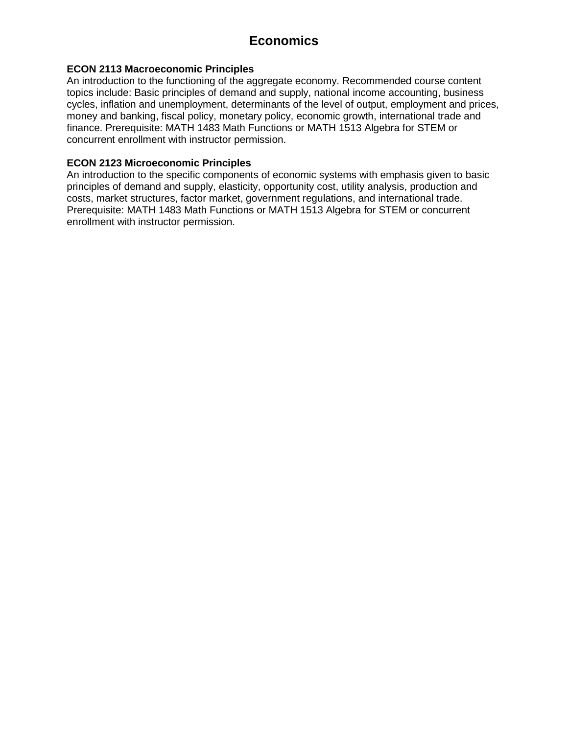# **Economics**

# **ECON 2113 Macroeconomic Principles**

An introduction to the functioning of the aggregate economy. Recommended course content topics include: Basic principles of demand and supply, national income accounting, business cycles, inflation and unemployment, determinants of the level of output, employment and prices, money and banking, fiscal policy, monetary policy, economic growth, international trade and finance. Prerequisite: MATH 1483 Math Functions or MATH 1513 Algebra for STEM or concurrent enrollment with instructor permission.

# **ECON 2123 Microeconomic Principles**

An introduction to the specific components of economic systems with emphasis given to basic principles of demand and supply, elasticity, opportunity cost, utility analysis, production and costs, market structures, factor market, government regulations, and international trade. Prerequisite: MATH 1483 Math Functions or MATH 1513 Algebra for STEM or concurrent enrollment with instructor permission.